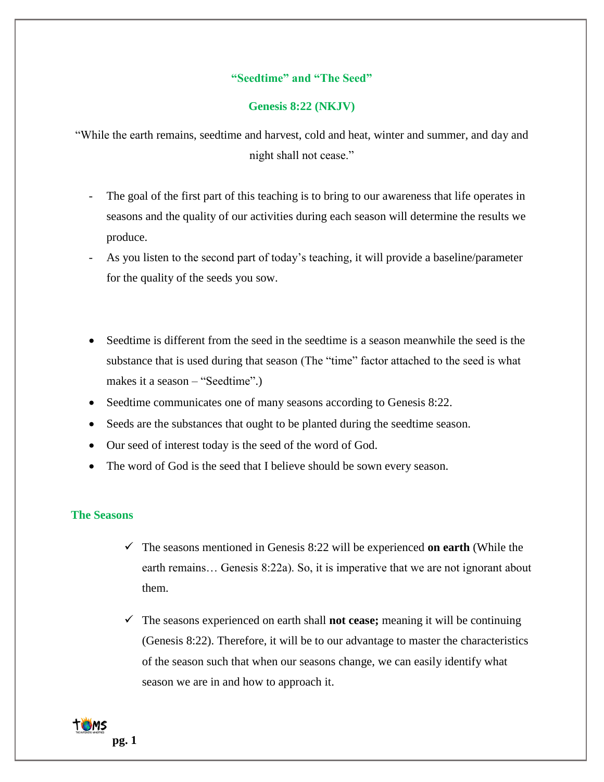# **"Seedtime" and "The Seed"**

## **Genesis 8:22 (NKJV)**

"While the earth remains, seedtime and harvest, cold and heat, winter and summer, and day and night shall not cease."

- The goal of the first part of this teaching is to bring to our awareness that life operates in seasons and the quality of our activities during each season will determine the results we produce.
- As you listen to the second part of today's teaching, it will provide a baseline/parameter for the quality of the seeds you sow.
- Seedtime is different from the seed in the seedtime is a season meanwhile the seed is the substance that is used during that season (The "time" factor attached to the seed is what makes it a season – "Seedtime".)
- Seedtime communicates one of many seasons according to Genesis 8:22.
- Seeds are the substances that ought to be planted during the seedtime season.
- Our seed of interest today is the seed of the word of God.
- The word of God is the seed that I believe should be sown every season.

## **The Seasons**

- $\checkmark$  The seasons mentioned in Genesis 8:22 will be experienced **on earth** (While the earth remains… Genesis 8:22a). So, it is imperative that we are not ignorant about them.
- $\checkmark$  The seasons experienced on earth shall **not cease;** meaning it will be continuing (Genesis 8:22). Therefore, it will be to our advantage to master the characteristics of the season such that when our seasons change, we can easily identify what season we are in and how to approach it.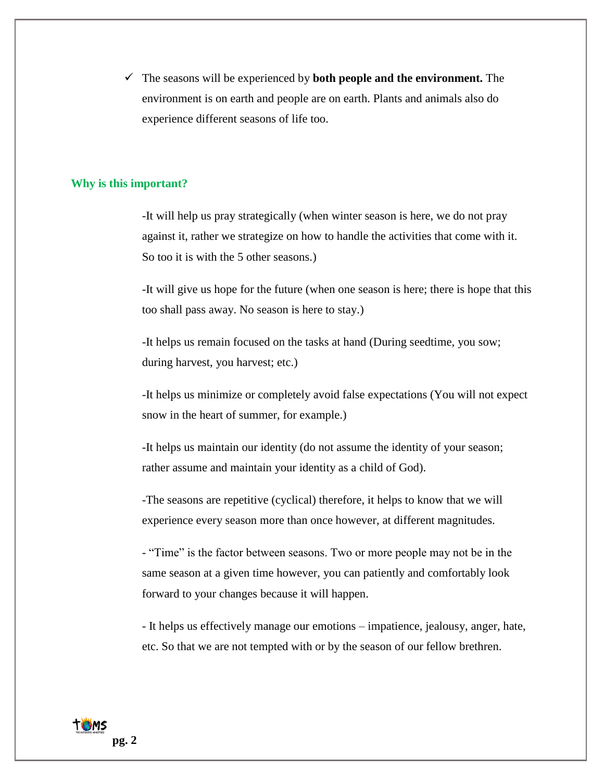✓ The seasons will be experienced by **both people and the environment.** The environment is on earth and people are on earth. Plants and animals also do experience different seasons of life too.

#### **Why is this important?**

-It will help us pray strategically (when winter season is here, we do not pray against it, rather we strategize on how to handle the activities that come with it. So too it is with the 5 other seasons.)

-It will give us hope for the future (when one season is here; there is hope that this too shall pass away. No season is here to stay.)

-It helps us remain focused on the tasks at hand (During seedtime, you sow; during harvest, you harvest; etc.)

-It helps us minimize or completely avoid false expectations (You will not expect snow in the heart of summer, for example.)

-It helps us maintain our identity (do not assume the identity of your season; rather assume and maintain your identity as a child of God).

-The seasons are repetitive (cyclical) therefore, it helps to know that we will experience every season more than once however, at different magnitudes.

- "Time" is the factor between seasons. Two or more people may not be in the same season at a given time however, you can patiently and comfortably look forward to your changes because it will happen.

- It helps us effectively manage our emotions – impatience, jealousy, anger, hate, etc. So that we are not tempted with or by the season of our fellow brethren.

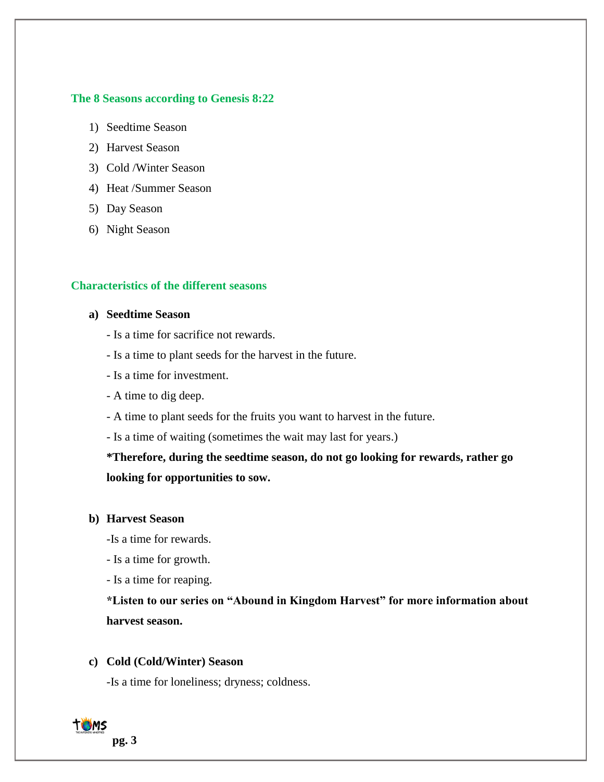## **The 8 Seasons according to Genesis 8:22**

- 1) Seedtime Season
- 2) Harvest Season
- 3) Cold /Winter Season
- 4) Heat /Summer Season
- 5) Day Season
- 6) Night Season

# **Characteristics of the different seasons**

# **a) Seedtime Season**

- Is a time for sacrifice not rewards.
- Is a time to plant seeds for the harvest in the future.
- Is a time for investment.
- A time to dig deep.
- A time to plant seeds for the fruits you want to harvest in the future.
- Is a time of waiting (sometimes the wait may last for years.)

**\*Therefore, during the seedtime season, do not go looking for rewards, rather go looking for opportunities to sow.**

### **b) Harvest Season**

-Is a time for rewards.

- Is a time for growth.
- Is a time for reaping.

**\*Listen to our series on "Abound in Kingdom Harvest" for more information about harvest season.** 

## **c) Cold (Cold/Winter) Season**

-Is a time for loneliness; dryness; coldness.

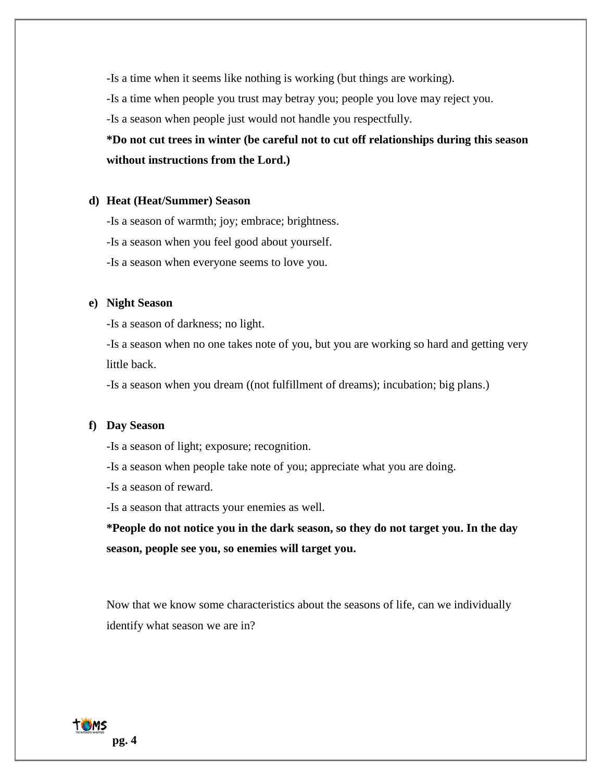-Is a time when it seems like nothing is working (but things are working).

-Is a time when people you trust may betray you; people you love may reject you.

-Is a season when people just would not handle you respectfully.

**\*Do not cut trees in winter (be careful not to cut off relationships during this season without instructions from the Lord.)**

#### **d) Heat (Heat/Summer) Season**

-Is a season of warmth; joy; embrace; brightness.

- -Is a season when you feel good about yourself.
- -Is a season when everyone seems to love you.

#### **e) Night Season**

-Is a season of darkness; no light.

-Is a season when no one takes note of you, but you are working so hard and getting very little back.

-Is a season when you dream ((not fulfillment of dreams); incubation; big plans.)

## **f) Day Season**

-Is a season of light; exposure; recognition.

-Is a season when people take note of you; appreciate what you are doing.

-Is a season of reward.

-Is a season that attracts your enemies as well.

**\*People do not notice you in the dark season, so they do not target you. In the day season, people see you, so enemies will target you.**

Now that we know some characteristics about the seasons of life, can we individually identify what season we are in?

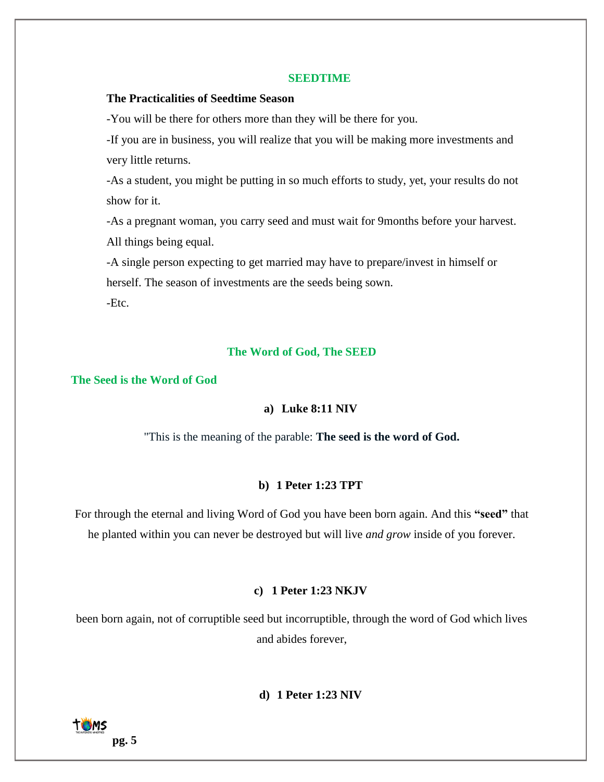#### **SEEDTIME**

# **The Practicalities of Seedtime Season**

-You will be there for others more than they will be there for you.

-If you are in business, you will realize that you will be making more investments and very little returns.

-As a student, you might be putting in so much efforts to study, yet, your results do not show for it.

-As a pregnant woman, you carry seed and must wait for 9months before your harvest. All things being equal.

-A single person expecting to get married may have to prepare/invest in himself or herself. The season of investments are the seeds being sown. -Etc.

#### **The Word of God, The SEED**

#### **The Seed is the Word of God**

## **a) Luke 8:11 NIV**

"This is the meaning of the parable: **The seed is the word of God.**

# **b) 1 Peter 1:23 TPT**

For through the eternal and living Word of God you have been born again. And this **"seed"** that he planted within you can never be destroyed but will live *and grow* inside of you forever.

#### **c) 1 Peter 1:23 NKJV**

been born again, not of corruptible seed but incorruptible, through the word of God which lives and abides forever,

**d) 1 Peter 1:23 NIV**

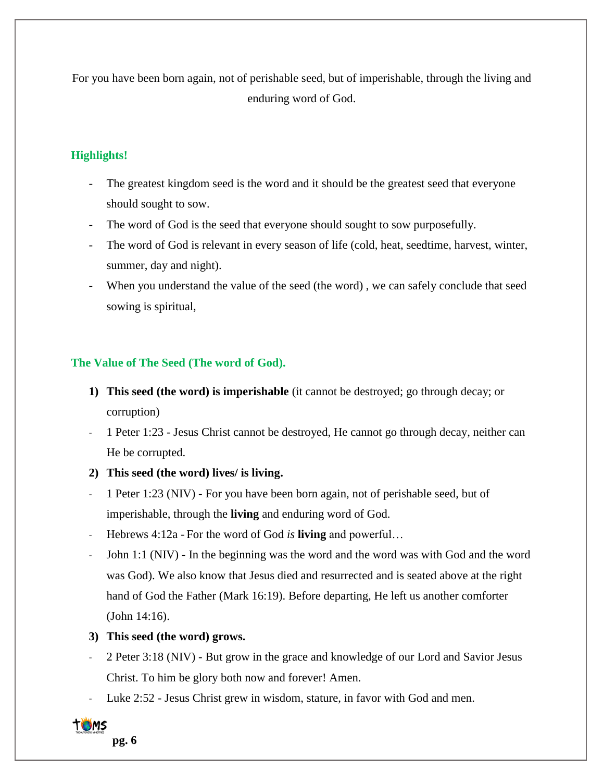For you have been born again, not of perishable seed, but of imperishable, through the living and enduring word of God.

# **Highlights!**

- The greatest kingdom seed is the word and it should be the greatest seed that everyone should sought to sow.
- The word of God is the seed that everyone should sought to sow purposefully.
- The word of God is relevant in every season of life (cold, heat, seedtime, harvest, winter, summer, day and night).
- When you understand the value of the seed (the word), we can safely conclude that seed sowing is spiritual,

# **The Value of The Seed (The word of God).**

- **1) This seed (the word) is imperishable** (it cannot be destroyed; go through decay; or corruption)
- 1 Peter 1:23 Jesus Christ cannot be destroyed, He cannot go through decay, neither can He be corrupted.
- **2) This seed (the word) lives/ is living.**
- 1 Peter 1:23 (NIV) For you have been born again, not of perishable seed, but of imperishable, through the **living** and enduring word of God.
- Hebrews 4:12a For the word of God *is* **living** and powerful…
- John 1:1 (NIV) In the beginning was the word and the word was with God and the word was God). We also know that Jesus died and resurrected and is seated above at the right hand of God the Father (Mark 16:19). Before departing, He left us another comforter (John 14:16).
- **3) This seed (the word) grows.**
- 2 Peter 3:18 (NIV) But grow in the grace and knowledge of our Lord and Savior Jesus Christ. To him be glory both now and forever! Amen.
- Luke 2:52 Jesus Christ grew in wisdom, stature, in favor with God and men.